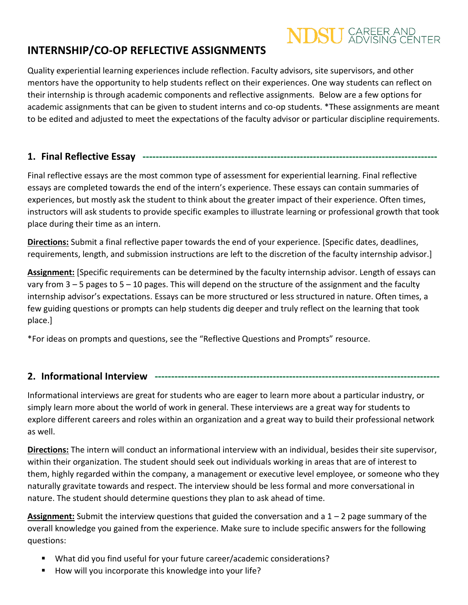# **NDSU** CAREER AND

## **INTERNSHIP/CO-OP REFLECTIVE ASSIGNMENTS**

Quality experiential learning experiences include reflection. Faculty advisors, site supervisors, and other mentors have the opportunity to help students reflect on their experiences. One way students can reflect on their internship is through academic components and reflective assignments. Below are a few options for academic assignments that can be given to student interns and co-op students. \*These assignments are meant to be edited and adjusted to meet the expectations of the faculty advisor or particular discipline requirements.

#### **1. Final Reflective Essay ------------------------------------------------------------------------------------------**

Final reflective essays are the most common type of assessment for experiential learning. Final reflective essays are completed towards the end of the intern's experience. These essays can contain summaries of experiences, but mostly ask the student to think about the greater impact of their experience. Often times, instructors will ask students to provide specific examples to illustrate learning or professional growth that took place during their time as an intern.

**Directions:** Submit a final reflective paper towards the end of your experience. [Specific dates, deadlines, requirements, length, and submission instructions are left to the discretion of the faculty internship advisor.]

**Assignment:** [Specific requirements can be determined by the faculty internship advisor. Length of essays can vary from 3 – 5 pages to 5 – 10 pages. This will depend on the structure of the assignment and the faculty internship advisor's expectations. Essays can be more structured or less structured in nature. Often times, a few guiding questions or prompts can help students dig deeper and truly reflect on the learning that took place.]

\*For ideas on prompts and questions, see the "Reflective Questions and Prompts" resource.

## **2. Informational Interview ---------------------------------------------------------------------------------------**

Informational interviews are great for students who are eager to learn more about a particular industry, or simply learn more about the world of work in general. These interviews are a great way for students to explore different careers and roles within an organization and a great way to build their professional network as well.

**Directions:** The intern will conduct an informational interview with an individual, besides their site supervisor, within their organization. The student should seek out individuals working in areas that are of interest to them, highly regarded within the company, a management or executive level employee, or someone who they naturally gravitate towards and respect. The interview should be less formal and more conversational in nature. The student should determine questions they plan to ask ahead of time.

**Assignment:** Submit the interview questions that guided the conversation and a 1 – 2 page summary of the overall knowledge you gained from the experience. Make sure to include specific answers for the following questions:

- What did you find useful for your future career/academic considerations?
- How will you incorporate this knowledge into your life?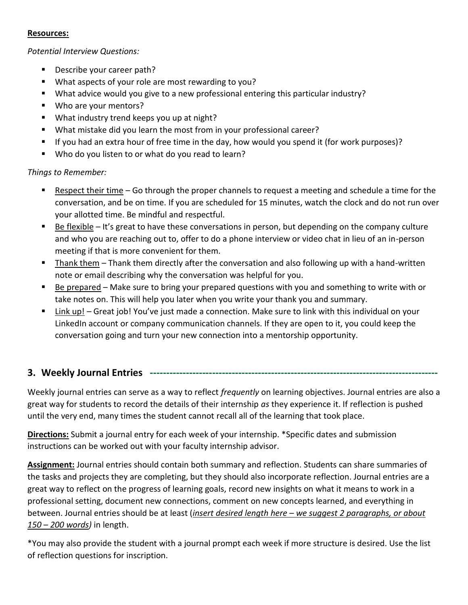#### **Resources:**

#### *Potential Interview Questions:*

- Describe your career path?
- What aspects of your role are most rewarding to you?
- What advice would you give to a new professional entering this particular industry?
- **Who are your mentors?**
- What industry trend keeps you up at night?
- What mistake did you learn the most from in your professional career?
- If you had an extra hour of free time in the day, how would you spend it (for work purposes)?
- Who do you listen to or what do you read to learn?

#### *Things to Remember:*

- **Parageler F** Respect their time  $-$  Go through the proper channels to request a meeting and schedule a time for the conversation, and be on time. If you are scheduled for 15 minutes, watch the clock and do not run over your allotted time. Be mindful and respectful.
- $B$  Be flexible It's great to have these conversations in person, but depending on the company culture and who you are reaching out to, offer to do a phone interview or video chat in lieu of an in-person meeting if that is more convenient for them.
- Thank them Thank them directly after the conversation and also following up with a hand-written note or email describing why the conversation was helpful for you.
- Be prepared Make sure to bring your prepared questions with you and something to write with or take notes on. This will help you later when you write your thank you and summary.
- Link up! Great job! You've just made a connection. Make sure to link with this individual on your LinkedIn account or company communication channels. If they are open to it, you could keep the conversation going and turn your new connection into a mentorship opportunity.

## **3. Weekly Journal Entries ----------------------------------------------------------------------------------------**

Weekly journal entries can serve as a way to reflect *frequently* on learning objectives. Journal entries are also a great way for students to record the details of their internship *as* they experience it. If reflection is pushed until the very end, many times the student cannot recall all of the learning that took place.

**Directions:** Submit a journal entry for each week of your internship. \*Specific dates and submission instructions can be worked out with your faculty internship advisor.

**Assignment:** Journal entries should contain both summary and reflection. Students can share summaries of the tasks and projects they are completing, but they should also incorporate reflection. Journal entries are a great way to reflect on the progress of learning goals, record new insights on what it means to work in a professional setting, document new connections, comment on new concepts learned, and everything in between. Journal entries should be at least (*insert desired length here – we suggest 2 paragraphs, or about 150 – 200 words)* in length.

\*You may also provide the student with a journal prompt each week if more structure is desired. Use the list of reflection questions for inscription.